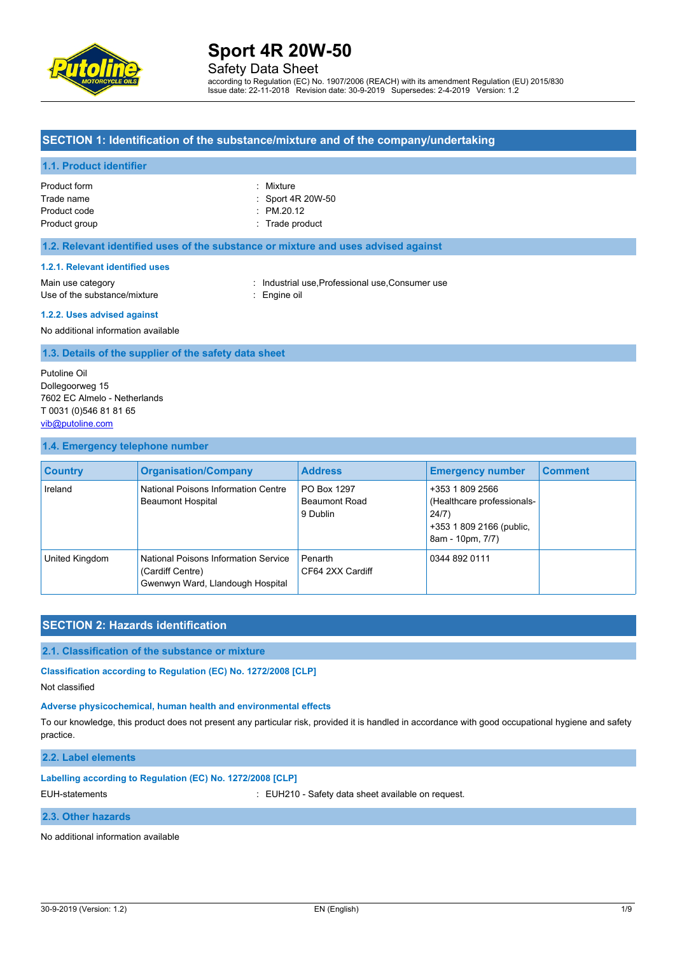

Safety Data Sheet

according to Regulation (EC) No. 1907/2006 (REACH) with its amendment Regulation (EU) 2015/830 Issue date: 22-11-2018 Revision date: 30-9-2019 Supersedes: 2-4-2019 Version: 1.2

### **SECTION 1: Identification of the substance/mixture and of the company/undertaking**

#### **1.1. Product identifier**

| Product form  |  |
|---------------|--|
| Trade name    |  |
| Product code  |  |
| Product group |  |

: Mixture : Sport 4R 20W-50  $P_{M.20.12}$ : Trade product

#### **1.2. Relevant identified uses of the substance or mixture and uses advised against**

#### **1.2.1. Relevant identified uses**

Use of the substance/mixture : Engine oil

Main use category **industrial use, Professional use, Consumer use** in Main use category

### **1.2.2. Uses advised against**

No additional information available

#### **1.3. Details of the supplier of the safety data sheet**

Putoline Oil Dollegoorweg 15 7602 EC Almelo - Netherlands T 0031 (0)546 81 81 65 [vib@putoline.com](mailto:vib@putoline.com)

#### **1.4. Emergency telephone number**

| <b>Country</b> | <b>Organisation/Company</b>                                                                  | <b>Address</b>                                  | <b>Emergency number</b>                                                                                | <b>Comment</b> |
|----------------|----------------------------------------------------------------------------------------------|-------------------------------------------------|--------------------------------------------------------------------------------------------------------|----------------|
| Ireland        | National Poisons Information Centre<br><b>Beaumont Hospital</b>                              | PO Box 1297<br><b>Beaumont Road</b><br>9 Dublin | +353 1 809 2566<br>(Healthcare professionals-<br>24/7)<br>+353 1 809 2166 (public,<br>8am - 10pm, 7/7) |                |
| United Kingdom | National Poisons Information Service<br>(Cardiff Centre)<br>Gwenwyn Ward, Llandough Hospital | Penarth<br>CF64 2XX Cardiff                     | 0344 892 0111                                                                                          |                |

### **SECTION 2: Hazards identification**

#### **2.1. Classification of the substance or mixture**

**Classification according to Regulation (EC) No. 1272/2008 [CLP]**

Not classified

#### **Adverse physicochemical, human health and environmental effects**

To our knowledge, this product does not present any particular risk, provided it is handled in accordance with good occupational hygiene and safety practice.

#### **2.2. Label elements**

#### **Labelling according to Regulation (EC) No. 1272/2008 [CLP]**

EUH-statements : EUH210 - Safety data sheet available on request.

#### **2.3. Other hazards**

No additional information available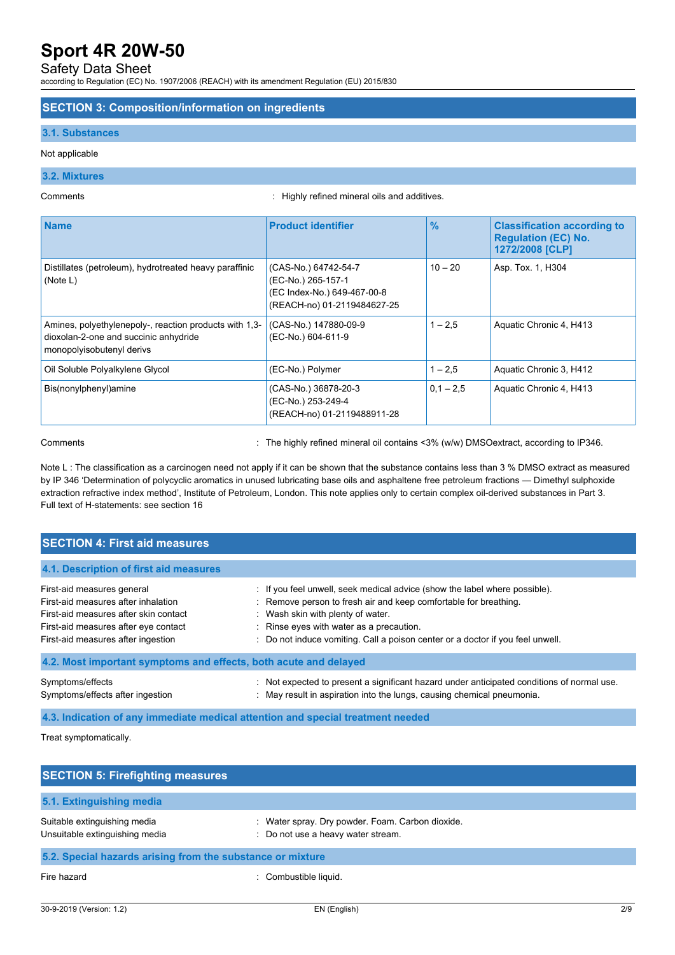### Safety Data Sheet

according to Regulation (EC) No. 1907/2006 (REACH) with its amendment Regulation (EU) 2015/830

#### **SECTION 3: Composition/information on ingredients**

#### **3.1. Substances**

#### Not applicable

### **3.2. Mixtures**

Comments : Highly refined mineral oils and additives.

| <b>Name</b>                                                                                                                  | <b>Product identifier</b>                                                                                | $\frac{9}{6}$ | <b>Classification according to</b><br><b>Regulation (EC) No.</b><br>1272/2008 [CLP] |
|------------------------------------------------------------------------------------------------------------------------------|----------------------------------------------------------------------------------------------------------|---------------|-------------------------------------------------------------------------------------|
| Distillates (petroleum), hydrotreated heavy paraffinic<br>(Note L)                                                           | (CAS-No.) 64742-54-7<br>(EC-No.) 265-157-1<br>(EC Index-No.) 649-467-00-8<br>(REACH-no) 01-2119484627-25 | $10 - 20$     | Asp. Tox. 1, H304                                                                   |
| Amines, polyethylenepoly-, reaction products with 1,3-<br>dioxolan-2-one and succinic anhydride<br>monopolyisobutenyl derivs | (CAS-No.) 147880-09-9<br>(EC-No.) 604-611-9                                                              | $1 - 2.5$     | Aquatic Chronic 4, H413                                                             |
| Oil Soluble Polyalkylene Glycol                                                                                              | (EC-No.) Polymer                                                                                         | $1 - 2.5$     | Aquatic Chronic 3, H412                                                             |
| Bis(nonylphenyl)amine                                                                                                        | (CAS-No.) 36878-20-3<br>(EC-No.) 253-249-4<br>(REACH-no) 01-2119488911-28                                | $0.1 - 2.5$   | Aquatic Chronic 4, H413                                                             |

Comments **1998** Comments 2006 Comments 2006 Comments 2016 Comments 2016 Comments 2016 Comments 2016 Comments 2016

Note L : The classification as a carcinogen need not apply if it can be shown that the substance contains less than 3 % DMSO extract as measured by IP 346 'Determination of polycyclic aromatics in unused lubricating base oils and asphaltene free petroleum fractions — Dimethyl sulphoxide extraction refractive index method', Institute of Petroleum, London. This note applies only to certain complex oil-derived substances in Part 3. Full text of H-statements: see section 16

| <b>SECTION 4: First aid measures</b>                                                                                                                                                     |                                                                                                                                                                                                                                                                                                                   |  |  |  |
|------------------------------------------------------------------------------------------------------------------------------------------------------------------------------------------|-------------------------------------------------------------------------------------------------------------------------------------------------------------------------------------------------------------------------------------------------------------------------------------------------------------------|--|--|--|
| 4.1. Description of first aid measures                                                                                                                                                   |                                                                                                                                                                                                                                                                                                                   |  |  |  |
| First-aid measures general<br>First-aid measures after inhalation<br>First-aid measures after skin contact<br>First-aid measures after eye contact<br>First-aid measures after ingestion | : If you feel unwell, seek medical advice (show the label where possible).<br>: Remove person to fresh air and keep comfortable for breathing.<br>: Wash skin with plenty of water.<br>: Rinse eyes with water as a precaution.<br>: Do not induce vomiting. Call a poison center or a doctor if you feel unwell. |  |  |  |
| 4.2. Most important symptoms and effects, both acute and delayed                                                                                                                         |                                                                                                                                                                                                                                                                                                                   |  |  |  |
| Symptoms/effects<br>Symptoms/effects after ingestion                                                                                                                                     | : Not expected to present a significant hazard under anticipated conditions of normal use.<br>: May result in aspiration into the lungs, causing chemical pneumonia.                                                                                                                                              |  |  |  |
| 4.3. Indication of any immediate medical attention and special treatment needed                                                                                                          |                                                                                                                                                                                                                                                                                                                   |  |  |  |

Treat symptomatically.

| <b>SECTION 5: Firefighting measures</b>                        |                                                                                        |  |  |  |
|----------------------------------------------------------------|----------------------------------------------------------------------------------------|--|--|--|
| 5.1. Extinguishing media                                       |                                                                                        |  |  |  |
| Suitable extinguishing media<br>Unsuitable extinguishing media | : Water spray. Dry powder. Foam. Carbon dioxide.<br>: Do not use a heavy water stream. |  |  |  |
| 5.2. Special hazards arising from the substance or mixture     |                                                                                        |  |  |  |
| Fire hazard                                                    | Combustible liquid.                                                                    |  |  |  |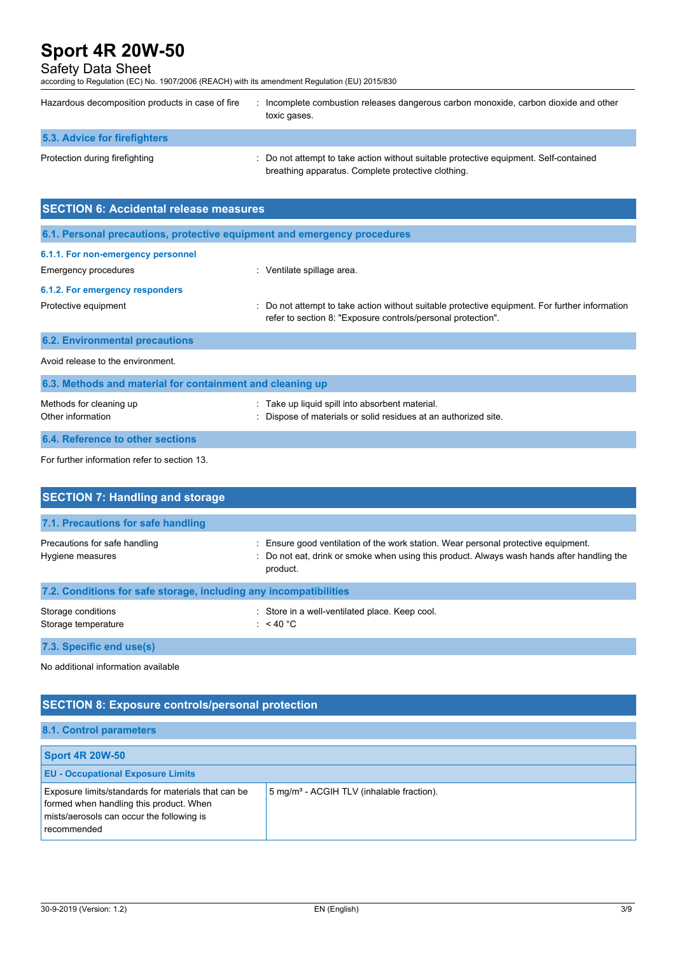# Safety Data Sheet

according to Regulation (EC) No. 1907/2006 (REACH) with its amendment Regulation (EU) 2015/830

| Hazardous decomposition products in case of fire                         | : Incomplete combustion releases dangerous carbon monoxide, carbon dioxide and other<br>toxic gases.                                        |  |  |  |
|--------------------------------------------------------------------------|---------------------------------------------------------------------------------------------------------------------------------------------|--|--|--|
| <b>5.3. Advice for firefighters</b>                                      |                                                                                                                                             |  |  |  |
| Protection during firefighting                                           | : Do not attempt to take action without suitable protective equipment. Self-contained<br>breathing apparatus. Complete protective clothing. |  |  |  |
| <b>SECTION 6: Accidental release measures</b>                            |                                                                                                                                             |  |  |  |
| 6.1. Personal precautions, protective equipment and emergency procedures |                                                                                                                                             |  |  |  |
| 6.1.1. For non-emergency personnel                                       |                                                                                                                                             |  |  |  |

Emergency procedures in the spillage area.

# **6.1.2. For emergency responders**

Protective equipment **interest and the CO** not attempt to take action without suitable protective equipment. For further information refer to section 8: "Exposure controls/personal protection".

| $M$ othada far alaaning un                                | . Toke un liquid anill into obeerbont motorial |
|-----------------------------------------------------------|------------------------------------------------|
| 6.3. Methods and material for containment and cleaning up |                                                |
| Avoid release to the environment.                         |                                                |
| <b>6.2. Environmental precautions</b>                     |                                                |

| Methods for cleaning up | : Take up liquid spill into absorbent material.               |
|-------------------------|---------------------------------------------------------------|
| Other information       | Dispose of materials or solid residues at an authorized site. |
|                         |                                                               |

# **6.4. Reference to other sections**

For further information refer to section 13.

| <b>SECTION 7: Handling and storage</b>                            |                                                                                                                                                                                              |  |  |  |
|-------------------------------------------------------------------|----------------------------------------------------------------------------------------------------------------------------------------------------------------------------------------------|--|--|--|
| 7.1. Precautions for safe handling                                |                                                                                                                                                                                              |  |  |  |
| Precautions for safe handling<br>Hygiene measures                 | : Ensure good ventilation of the work station. Wear personal protective equipment.<br>: Do not eat, drink or smoke when using this product. Always wash hands after handling the<br>product. |  |  |  |
| 7.2. Conditions for safe storage, including any incompatibilities |                                                                                                                                                                                              |  |  |  |
| Storage conditions<br>Storage temperature                         | : Store in a well-ventilated place. Keep cool.<br>: $<$ 40 °C                                                                                                                                |  |  |  |

**7.3. Specific end use(s)**

No additional information available

# **SECTION 8: Exposure controls/personal protection**

### **8.1. Control parameters**

| <b>Sport 4R 20W-50</b>                                                                                                                                     |                                                       |
|------------------------------------------------------------------------------------------------------------------------------------------------------------|-------------------------------------------------------|
| <b>EU - Occupational Exposure Limits</b>                                                                                                                   |                                                       |
| Exposure limits/standards for materials that can be<br>formed when handling this product. When<br>mists/aerosols can occur the following is<br>recommended | 5 mg/m <sup>3</sup> - ACGIH TLV (inhalable fraction). |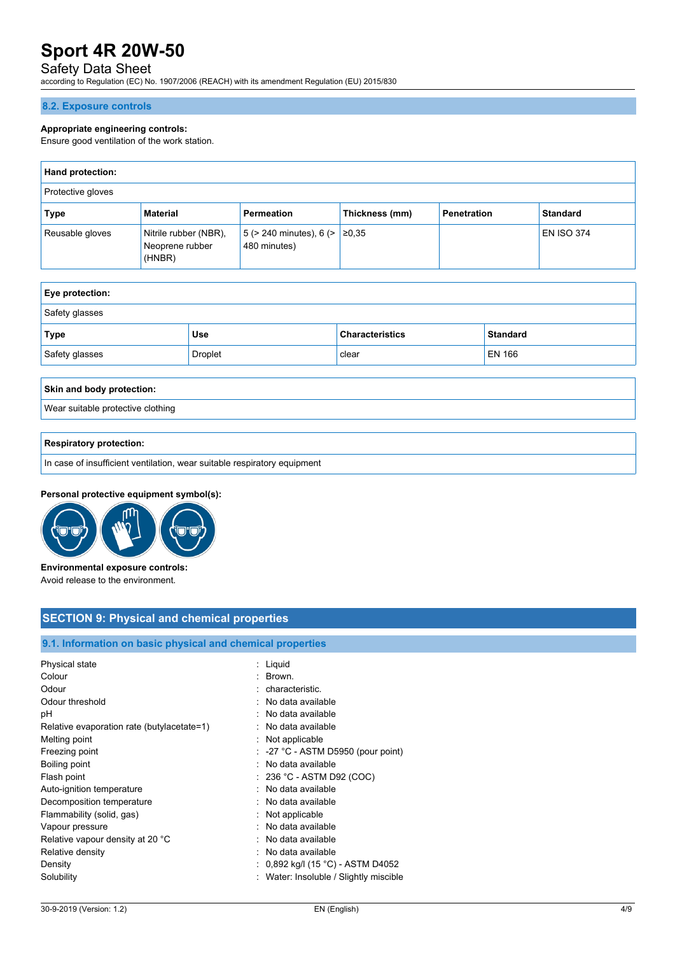# Safety Data Sheet

according to Regulation (EC) No. 1907/2006 (REACH) with its amendment Regulation (EU) 2015/830

#### **8.2. Exposure controls**

#### **Appropriate engineering controls:**

Ensure good ventilation of the work station.

| <b>Hand protection:</b> |                                                    |                                                     |                |                    |                   |
|-------------------------|----------------------------------------------------|-----------------------------------------------------|----------------|--------------------|-------------------|
| Protective gloves       |                                                    |                                                     |                |                    |                   |
| Type                    | Material                                           | Permeation                                          | Thickness (mm) | <b>Penetration</b> | <b>Standard</b>   |
| Reusable gloves         | Nitrile rubber (NBR),<br>Neoprene rubber<br>(HNBR) | 5 (> 240 minutes), 6 (> $\ge$ ≥0,35<br>480 minutes) |                |                    | <b>EN ISO 374</b> |

| <b>Eye protection:</b> |            |                        |                 |  |
|------------------------|------------|------------------------|-----------------|--|
| Safety glasses         |            |                        |                 |  |
| <b>Type</b>            | <b>Use</b> | <b>Characteristics</b> | <b>Standard</b> |  |
| Safety glasses         | Droplet    | clear                  | EN 166          |  |

#### **Skin and body protection:**

Wear suitable protective clothing

#### **Respiratory protection:**

In case of insufficient ventilation, wear suitable respiratory equipment

### **Personal protective equipment symbol(s):**



**Environmental exposure controls:** Avoid release to the environment.

# **SECTION 9: Physical and chemical properties**

### **9.1. Information on basic physical and chemical properties**

| Physical state                             | : Liquid                                      |
|--------------------------------------------|-----------------------------------------------|
| Colour                                     | : Brown.                                      |
| Odour                                      | : characteristic.                             |
| Odour threshold                            | : No data available                           |
| рH                                         | : No data available                           |
| Relative evaporation rate (butylacetate=1) | : No data available                           |
| Melting point                              | : Not applicable                              |
| Freezing point                             | $\therefore$ -27 °C - ASTM D5950 (pour point) |
| Boiling point                              | : No data available                           |
| Flash point                                | $: 236 °C$ - ASTM D92 (COC)                   |
| Auto-ignition temperature                  | : No data available                           |
| Decomposition temperature                  | : No data available                           |
| Flammability (solid, gas)                  | : Not applicable                              |
| Vapour pressure                            | : No data available                           |
| Relative vapour density at 20 °C           | : No data available                           |
| Relative density                           | : No data available                           |
| Density                                    | : 0,892 kg/l (15 °C) - ASTM D4052             |
| Solubility                                 | : Water: Insoluble / Slightly miscible        |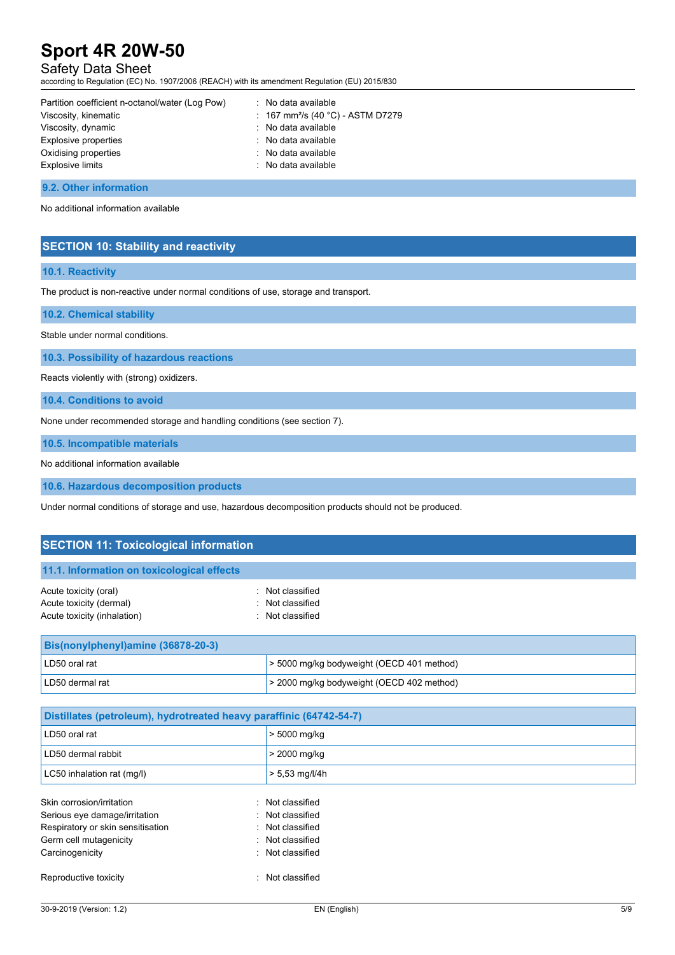# Safety Data Sheet

according to Regulation (EC) No. 1907/2006 (REACH) with its amendment Regulation (EU) 2015/830

| Partition coefficient n-octanol/water (Log Pow) | $\therefore$ No data available                |
|-------------------------------------------------|-----------------------------------------------|
| Viscosity, kinematic                            | : 167 mm <sup>2</sup> /s (40 °C) - ASTM D7279 |
| Viscosity, dynamic                              | : No data available                           |
| Explosive properties                            | : No data available                           |
| Oxidising properties                            | : No data available                           |
| <b>Explosive limits</b>                         | : No data available                           |

#### **9.2. Other information**

No additional information available

## **SECTION 10: Stability and reactivity**

#### **10.1. Reactivity**

The product is non-reactive under normal conditions of use, storage and transport.

#### **10.2. Chemical stability**

Stable under normal conditions.

**10.3. Possibility of hazardous reactions**

Reacts violently with (strong) oxidizers.

**10.4. Conditions to avoid**

None under recommended storage and handling conditions (see section 7).

**10.5. Incompatible materials**

No additional information available

**10.6. Hazardous decomposition products**

Under normal conditions of storage and use, hazardous decomposition products should not be produced.

# **SECTION 11: Toxicological information**

| 11.1. Information on toxicological effects |                  |
|--------------------------------------------|------------------|
| Acute toxicity (oral)                      | : Not classified |
| Acute toxicity (dermal)                    | : Not classified |
| Acute toxicity (inhalation)                | : Not classified |

| <b>Bis(nonylphenyl)amine (36878-20-3)</b> |                                                |
|-------------------------------------------|------------------------------------------------|
| LD50 oral rat                             | > 5000 mg/kg bodyweight (OECD 401 method)      |
| LD50 dermal rat                           | $\geq$ 2000 mg/kg bodyweight (OECD 402 method) |

| Distillates (petroleum), hydrotreated heavy paraffinic (64742-54-7) |                  |  |
|---------------------------------------------------------------------|------------------|--|
| LD50 oral rat                                                       | > 5000 mg/kg     |  |
| LD50 dermal rabbit                                                  | > 2000 mg/kg     |  |
| LC50 inhalation rat (mg/l)                                          | $> 5.53$ mg/l/4h |  |
| Skin corrosion/irritation<br>۰.                                     | Not classified   |  |
| Serious eye damage/irritation                                       | : Not classified |  |
| Respiratory or skin sensitisation                                   | Not classified   |  |
| Germ cell mutagenicity<br>٠.                                        | Not classified   |  |
| Carcinogenicity<br>٠.                                               | Not classified   |  |
| Reproductive toxicity<br>٠.                                         | Not classified   |  |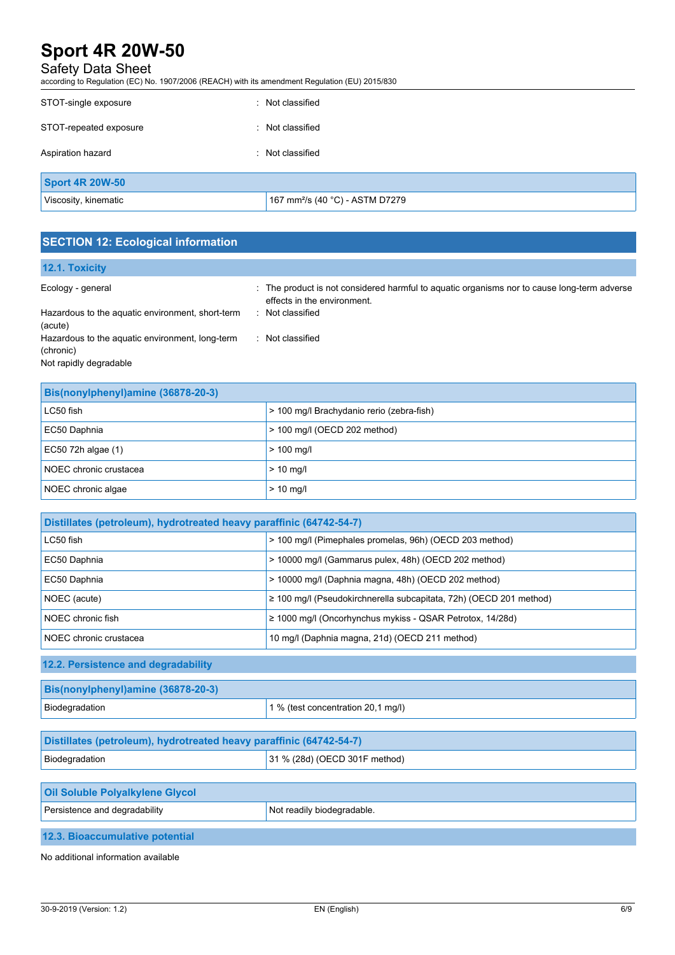# Safety Data Sheet

according to Regulation (EC) No. 1907/2006 (REACH) with its amendment Regulation (EU) 2015/830

| STOT-single exposure   | : Not classified                            |
|------------------------|---------------------------------------------|
| STOT-repeated exposure | : Not classified                            |
| Aspiration hazard      | : Not classified                            |
| <b>Sport 4R 20W-50</b> |                                             |
| Viscosity, kinematic   | 167 mm <sup>2</sup> /s (40 °C) - ASTM D7279 |

# **SECTION 12: Ecological information**

| <b>12.1. Toxicity</b>                                       |                                                                                                                            |
|-------------------------------------------------------------|----------------------------------------------------------------------------------------------------------------------------|
| Ecology - general                                           | : The product is not considered harmful to aguatic organisms nor to cause long-term adverse<br>effects in the environment. |
| Hazardous to the aquatic environment, short-term<br>(acute) | : Not classified                                                                                                           |
| Hazardous to the aquatic environment, long-term             | Not classified                                                                                                             |
| (chronic)                                                   |                                                                                                                            |
| Not rapidly degradable                                      |                                                                                                                            |

| Bis(nonylphenyl)amine (36878-20-3) |                                           |
|------------------------------------|-------------------------------------------|
| LC50 fish                          | > 100 mg/l Brachydanio rerio (zebra-fish) |
| EC50 Daphnia                       | > 100 mg/l (OECD 202 method)              |
| EC50 72h algae $(1)$               | $> 100$ mg/l                              |
| NOEC chronic crustacea             | $>$ 10 mg/l                               |
| NOEC chronic algae                 | $>$ 10 mg/l                               |

| Distillates (petroleum), hydrotreated heavy paraffinic (64742-54-7) |                                                                         |
|---------------------------------------------------------------------|-------------------------------------------------------------------------|
| LC50 fish                                                           | > 100 mg/l (Pimephales promelas, 96h) (OECD 203 method)                 |
| EC50 Daphnia                                                        | > 10000 mg/l (Gammarus pulex, 48h) (OECD 202 method)                    |
| EC50 Daphnia                                                        | > 10000 mg/l (Daphnia magna, 48h) (OECD 202 method)                     |
| NOEC (acute)                                                        | $\geq$ 100 mg/l (Pseudokirchnerella subcapitata, 72h) (OECD 201 method) |
| NOEC chronic fish                                                   | $\geq$ 1000 mg/l (Oncorhynchus mykiss - QSAR Petrotox, 14/28d)          |
| NOEC chronic crustacea                                              | 10 mg/l (Daphnia magna, 21d) (OECD 211 method)                          |

# **12.2. Persistence and degradability**

| Bis(nonylphenyl)amine (36878-20-3) |                                    |
|------------------------------------|------------------------------------|
| Biodegradation                     | 1 % (test concentration 20,1 mg/l) |

| Distillates (petroleum), hydrotreated heavy paraffinic (64742-54-7) |                               |
|---------------------------------------------------------------------|-------------------------------|
| Biodegradation                                                      | 31 % (28d) (OECD 301F method) |

| <b>Oil Soluble Polyalkylene Glycol</b> |                            |
|----------------------------------------|----------------------------|
| Persistence and degradability          | Not readily biodegradable. |
| $\cdots$                               |                            |

**12.3. Bioaccumulative potential**

No additional information available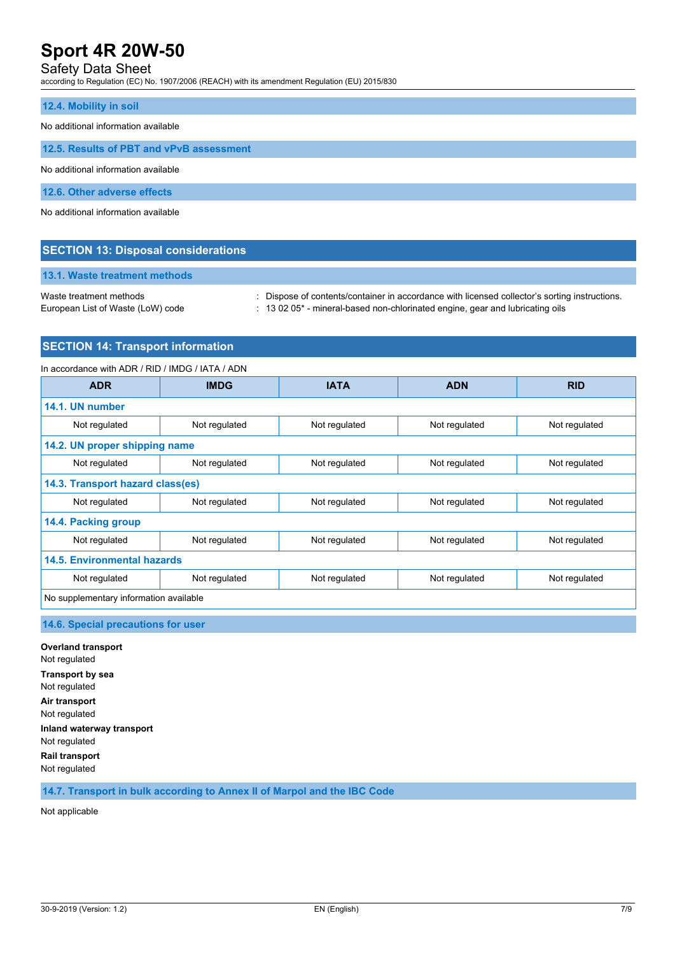## Safety Data Sheet

according to Regulation (EC) No. 1907/2006 (REACH) with its amendment Regulation (EU) 2015/830

#### **12.4. Mobility in soil**

No additional information available

**12.5. Results of PBT and vPvB assessment**

No additional information available

**12.6. Other adverse effects**

No additional information available

## **SECTION 13: Disposal considerations**

**13.1. Waste treatment methods**

Waste treatment methods : Dispose of contents/container in accordance with licensed collector's sorting instructions.

- 
- European List of Waste (LoW) code : 13 02 05\* mineral-based non-chlorinated engine, gear and lubricating oils

### **SECTION 14: Transport information**

In accordance with ADR / RID / IMDG / IATA / ADN **ADR IMDG IATA ADN RID 14.1. UN number** Not regulated Not regulated Not regulated Not regulated Not regulated Not regulated Not regulated **14.2. UN proper shipping name** Not regulated Not regulated Not regulated Not regulated Not regulated Not regulated Not regulated **14.3. Transport hazard class(es)** Not regulated Not regulated Not regulated Not regulated Not regulated Not regulated Not regulated **14.4. Packing group** Not regulated Not regulated Not regulated Not regulated Not regulated Not regulated Not regulated **14.5. Environmental hazards** Not regulated and Not regulated Not regulated Not regulated Not regulated Not regulated No supplementary information available

**14.6. Special precautions for user**

**Overland transport** Not regulated **Transport by sea** Not regulated **Air transport** Not regulated **Inland waterway transport** Not regulated **Rail transport** Not regulated

**14.7. Transport in bulk according to Annex II of Marpol and the IBC Code**

Not applicable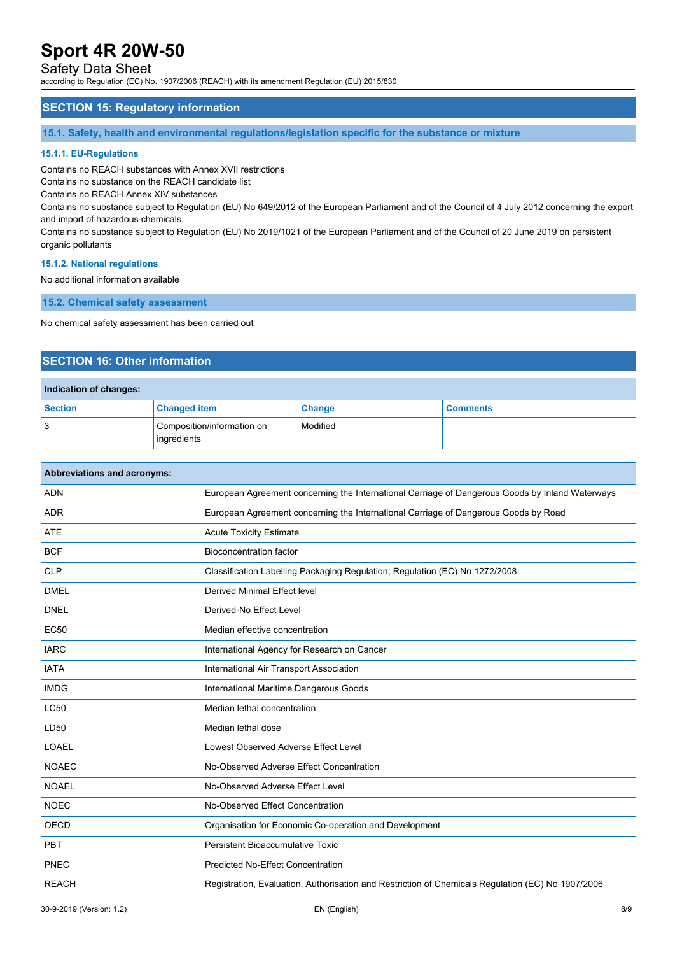## Safety Data Sheet

according to Regulation (EC) No. 1907/2006 (REACH) with its amendment Regulation (EU) 2015/830

### **SECTION 15: Regulatory information**

**15.1. Safety, health and environmental regulations/legislation specific for the substance or mixture**

#### **15.1.1. EU-Regulations**

Contains no REACH substances with Annex XVII restrictions

Contains no substance on the REACH candidate list

Contains no REACH Annex XIV substances

Contains no substance subject to Regulation (EU) No 649/2012 of the European Parliament and of the Council of 4 July 2012 concerning the export and import of hazardous chemicals.

Contains no substance subject to Regulation (EU) No 2019/1021 of the European Parliament and of the Council of 20 June 2019 on persistent organic pollutants

#### **15.1.2. National regulations**

No additional information available

**15.2. Chemical safety assessment**

No chemical safety assessment has been carried out

# **SECTION 16: Other information**

| Indication of changes: |                                           |               |                 |  |
|------------------------|-------------------------------------------|---------------|-----------------|--|
| Section                | <b>Changed item</b>                       | <b>Change</b> | <b>Comments</b> |  |
| -3                     | Composition/information on<br>ingredients | Modified      |                 |  |

| Abbreviations and acronyms: |                                                                                                   |  |
|-----------------------------|---------------------------------------------------------------------------------------------------|--|
| <b>ADN</b>                  | European Agreement concerning the International Carriage of Dangerous Goods by Inland Waterways   |  |
| <b>ADR</b>                  | European Agreement concerning the International Carriage of Dangerous Goods by Road               |  |
| <b>ATE</b>                  | <b>Acute Toxicity Estimate</b>                                                                    |  |
| <b>BCF</b>                  | <b>Bioconcentration factor</b>                                                                    |  |
| <b>CLP</b>                  | Classification Labelling Packaging Regulation; Regulation (EC) No 1272/2008                       |  |
| <b>DMEL</b>                 | Derived Minimal Effect level                                                                      |  |
| <b>DNEL</b>                 | Derived-No Effect Level                                                                           |  |
| <b>EC50</b>                 | Median effective concentration                                                                    |  |
| <b>IARC</b>                 | International Agency for Research on Cancer                                                       |  |
| <b>IATA</b>                 | International Air Transport Association                                                           |  |
| <b>IMDG</b>                 | International Maritime Dangerous Goods                                                            |  |
| LC50                        | Median lethal concentration                                                                       |  |
| LD50                        | Median lethal dose                                                                                |  |
| <b>LOAEL</b>                | Lowest Observed Adverse Effect Level                                                              |  |
| <b>NOAEC</b>                | No-Observed Adverse Effect Concentration                                                          |  |
| <b>NOAEL</b>                | No-Observed Adverse Effect Level                                                                  |  |
| <b>NOEC</b>                 | No-Observed Effect Concentration                                                                  |  |
| <b>OECD</b>                 | Organisation for Economic Co-operation and Development                                            |  |
| <b>PBT</b>                  | Persistent Bioaccumulative Toxic                                                                  |  |
| <b>PNEC</b>                 | <b>Predicted No-Effect Concentration</b>                                                          |  |
| <b>REACH</b>                | Registration, Evaluation, Authorisation and Restriction of Chemicals Regulation (EC) No 1907/2006 |  |
|                             |                                                                                                   |  |